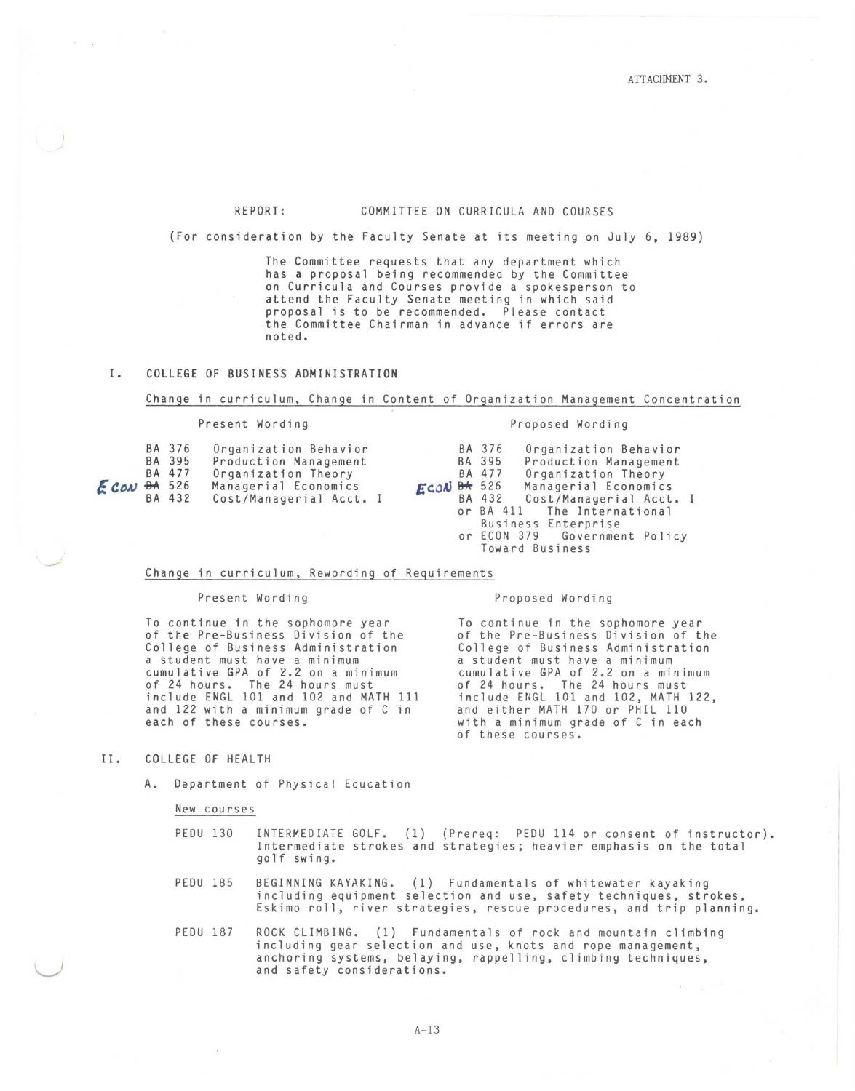# REPORT: COMMITTEE ON CURRICULA AND COURSES

(For consideration by the Faculty Senate at its meeting on July 6, 1989)

The Committee requests that any department which has a proposal being recommended by the Committee on Curricula and Courses provide a spokesperson to attend the Faculty Senate meeting in which said proposal is to be recommended. Please contact the Committee Chairman in advance if errors are noted.

## I. COLLEGE OF BUSINESS ADMINISTRATION

#### Change in curriculum, Change in Content of Organization Management Concentration

#### Present Wording **Proposed Wording**

| BA 376<br>Organization Behavior<br>BA 395<br>Production Management<br>BA 477<br>Organization Theory<br>ECON <sub>BA</sub> 526<br>Managerial Economics<br>BA 432<br>Cost/Managerial Acct. I | $ECON$ $B#$ 526 | BA 376<br>BA 395<br>BA 477<br>BA 432 | Organization Behavior<br>Production Management<br>Organization Theory<br>Managerial Economics<br>Cost/Managerial Acct. I<br>or BA 411 The International<br>Business Enterprise |  |
|--------------------------------------------------------------------------------------------------------------------------------------------------------------------------------------------|-----------------|--------------------------------------|--------------------------------------------------------------------------------------------------------------------------------------------------------------------------------|--|
|--------------------------------------------------------------------------------------------------------------------------------------------------------------------------------------------|-----------------|--------------------------------------|--------------------------------------------------------------------------------------------------------------------------------------------------------------------------------|--|

## or ECON 379 Government Policy Toward Business

#### Change in curriculum, Rewording of Requirements

#### Present Wording

To continue in the sophomore year of the Pre-Business Division of the College of Business Administration a student must have a minimum cumulative GPA of 2.2 on a minimum of 24 hours. The 24 hours must include ENGL 101 and 102 and MATH 111 and 122 with a minimum grade of C in each of these courses.

Proposed Wording

To continue in the sophomore year of the Pre-Business Division of the College of Business Administration a student must have a minimum cumulative GPA of 2.2 on a minimum of 24 hours. The 24 hours must include ENGL 101 and 102, MATH 122, and either MATH 170 or PHIL 110 with a minimum grade of C in each of these courses.

### II. COLLEGE OF HEALTH

 $\cup$ 

A. Department of Physical Education

New courses

| PEDU 130 |                                                                    |  |  | INTERMEDIATE GOLF. (1) (Prereq: PEDU 114 or consent of instructor). |
|----------|--------------------------------------------------------------------|--|--|---------------------------------------------------------------------|
|          | Intermediate strokes and strategies; heavier emphasis on the total |  |  |                                                                     |
|          | golf swing.                                                        |  |  |                                                                     |

- PEDU 185 BEGINNING KAYAKING. (1) Fundamentals of whitewater kayaking including equipment selection and use, safety techniques, strokes, Eskimo roll, river strategies, rescue procedures, and trip planning.
- PEDU 187 ROCK CLIMBING. (1) Fundamentals of rock and mountain climbing including gear selection and use, knots and rope management, anchoring systems, belaying, rappelling, climbing techniques, and safety considerations.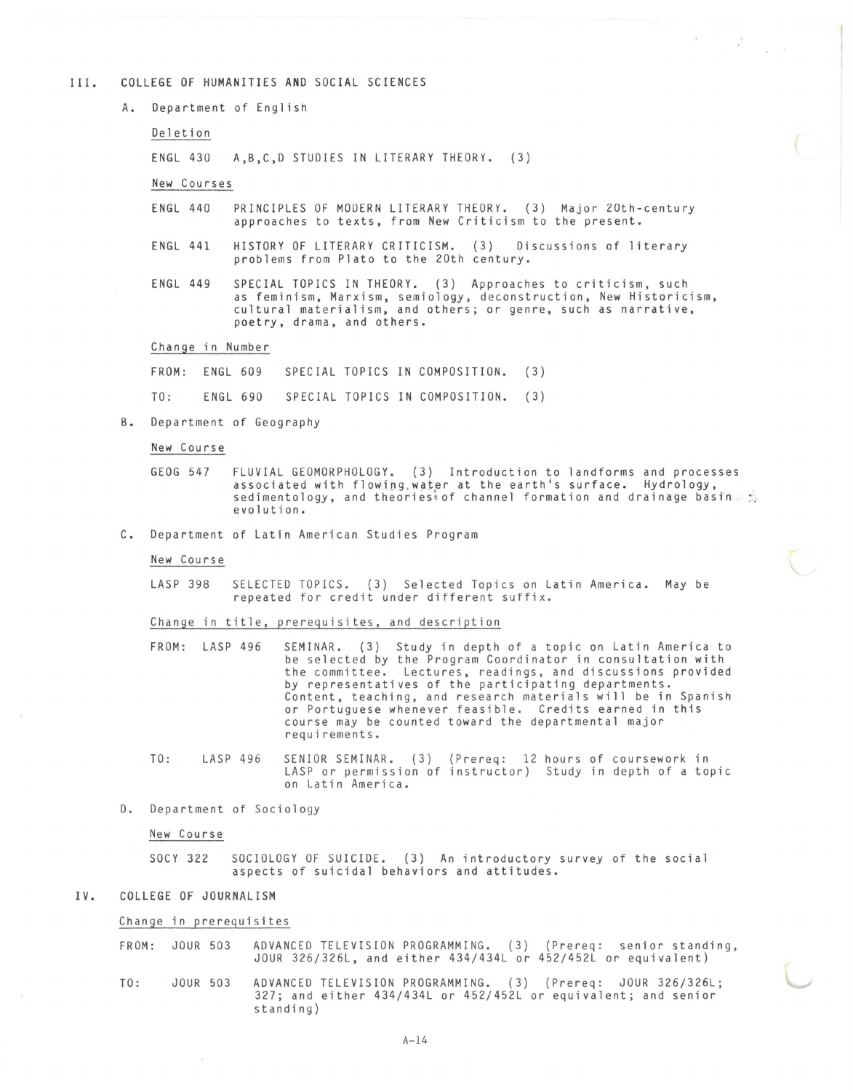#### III. COLLEGE OF HUMANITIES AND SOCIAL SCIENCES

A. Department of English

Deletion

ENGL 430 A,B,C,D STUDIES IN LITERARY THEORY. (3)

New Courses

ENGL 440 PRINCIPLES OF MODERN LITERARY THEORY. (3) Major 20th-century approaches to texts, from New Criticism to the present.

 $\label{eq:1} \begin{array}{ccccc} \mathbf{a}_1 & & & & \\ & \mathbf{c}_1 & & & \\ & \mathbf{c}_2 & & & \mathbf{c}_2 \\ \end{array}$ 

- ENGL 441 HISTORY OF LITERARY CRITICISM. (3) Discussions of literary problems from Plato to the 20th century.
- ENGL 449 SPECIAL TOPICS IN THEORY. (3) Approaches to criticism, such as feminism, Marxism, semiology, deconstruction, New Historicism, cultural materialism, and others; or genre, such as narrative, poetry, drama, and others.

Change in Number

FROM: ENGL 609 SPECIAL TOPICS IN COMPOSITION. (3)

TO: ENGL 690 SPECIAL TOPICS IN COMPOSITION. (3)

B. Department of Geography

New Course

GEOG 547 FLUVIAL GEOMORPHOLOGY. (3) Introduction to landforms and processes<br>associated with flowing water at the earth's surface. Hydrology, sedimentology, and theories of channel formation and drainage basin  $\mathbb{F}_2$ evolution.

C. Department of Latin American Studies Program

New Course

LASP 398 SELECTED TOPICS. (3) Selected Topics on Latin America. May be repeated for credit under different suffix.

Change in title, prerequisites, and description

FROM: LASP 496 SEMINAR. (3) Study in depth of a topic on Latin America to be selected by the Program Coordinator in consultation with the committee. Lectures, readings, and discussions provided by representatives of the participating departments. Content, teaching, and research materials will be in Spanish or Portuguese whenever feasible. Credits earned in this course may be counted toward the departmental major requirements.

TO: LASP 496 SENIOR SEMINAR. (3) (Prereq: 12 hours of coursework in LASP or permission of instructor) Study in depth of a topic on Latin America.

D. Department of Sociology

New Course

socv 322 SOCIOLOGY OF SUICIDE. (3) An introductory survey of the social aspects of suicidal behaviors and attitudes.

IV. COLLEGE OF JOURNALISM

Change in prerequisites

FROM: JOUR 503 ADVANCED TELEVISION PROGRAMMING. (3) (Prereq: senior standing, JOUR 326/326L, and either 434/434L or 452/452L or equivalent)

TO: JOUR 503 ADVANCED TELEVISION PROGRAMMING. (3) (Prereq: JOUR 326/326L; 327; and either 434/434L or 452/452L or equivalent; and senior standing)